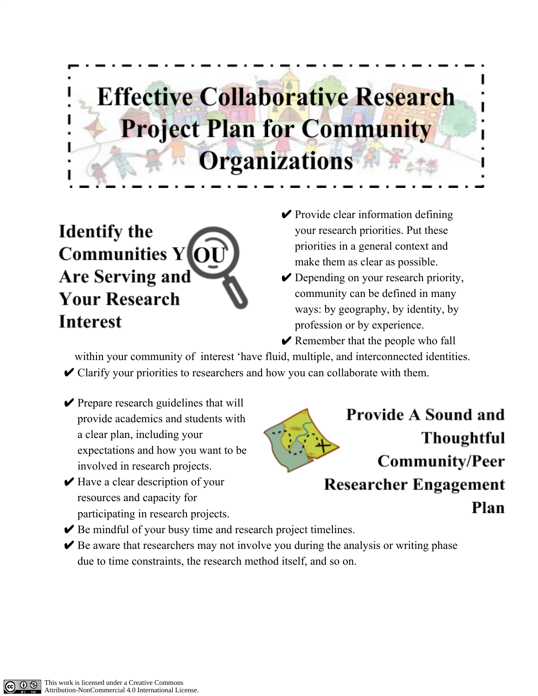## **Effective Collaborative Research Project Plan for Community Organizations**

**Identify the Communities Y Are Serving and Your Research Interest** 

- $\vee$  Provide clear information defining your research priorities. Put these priorities in a general context and make them as clear as possible.
- **►** Depending on your research priority, community can be defined in many ways: by geography, by identity, by profession or by experience.
- $\vee$  Remember that the people who fall

within your community of interest 'have fluid, multiple, and interconnected identities.

 $\vee$  Clarify your priorities to researchers and how you can collaborate with them.

- $\vee$  Prepare research guidelines that will provide academics and students with a clear plan, including your expectations and how you want to be involved in research projects.
- $\blacktriangleright$  Have a clear description of your resources and capacity for participating in research projects.

**Provide A Sound and Thoughtful Community/Peer Researcher Engagement** Plan

- $\blacktriangleright$  Be mindful of your busy time and research project timelines.
- $\blacktriangleright$  Be aware that researchers may not involve you during the analysis or writing phase due to time constraints, the research method itself, and so on.